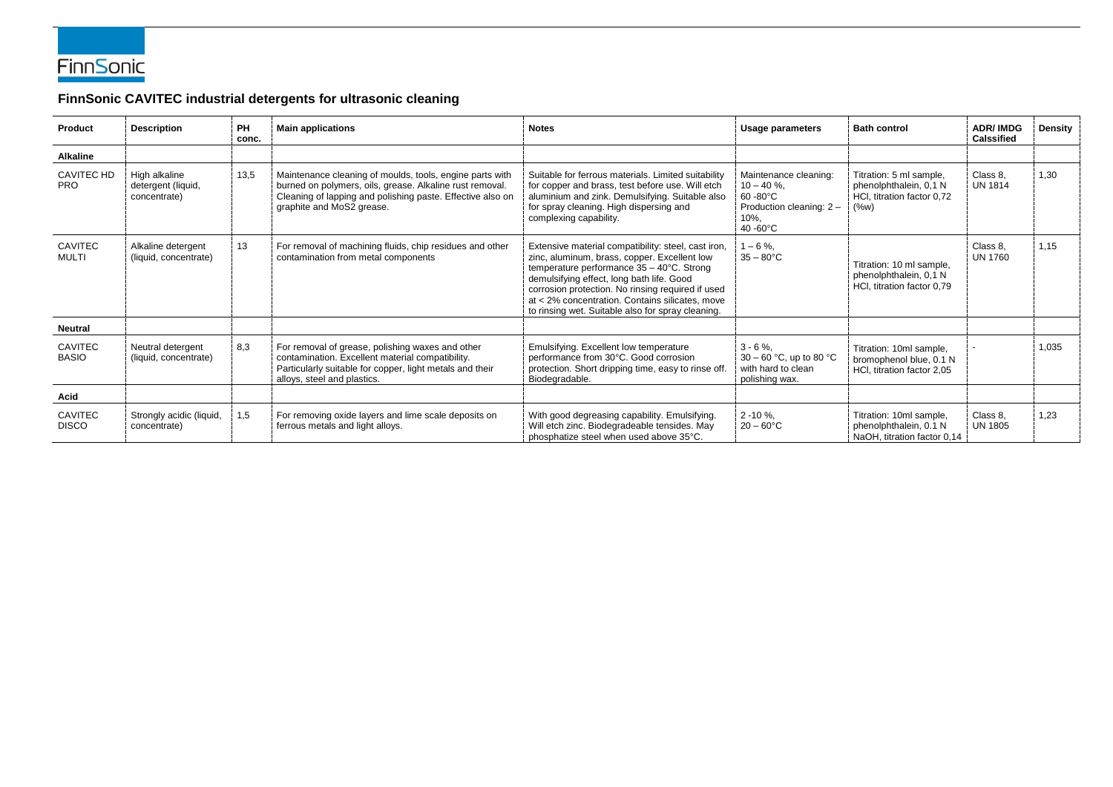

## **FinnSonic CAVITEC industrial detergents for ultrasonic cleaning**

| <b>Product</b>                  | <b>Description</b>                                  | <b>PH</b><br>conc. | <b>Main applications</b>                                                                                                                                                                                        | <b>Notes</b>                                                                                                                                                                                                                                                                                                                                               | <b>Usage parameters</b>                                                                              | <b>Bath control</b>                                                                        | <b>ADR/IMDG</b><br><b>Calssified</b> | <b>Density</b> |
|---------------------------------|-----------------------------------------------------|--------------------|-----------------------------------------------------------------------------------------------------------------------------------------------------------------------------------------------------------------|------------------------------------------------------------------------------------------------------------------------------------------------------------------------------------------------------------------------------------------------------------------------------------------------------------------------------------------------------------|------------------------------------------------------------------------------------------------------|--------------------------------------------------------------------------------------------|--------------------------------------|----------------|
| <b>Alkaline</b>                 |                                                     |                    |                                                                                                                                                                                                                 |                                                                                                                                                                                                                                                                                                                                                            |                                                                                                      |                                                                                            |                                      |                |
| <b>CAVITEC HD</b><br><b>PRO</b> | High alkaline<br>detergent (liquid,<br>concentrate) | 13,5               | Maintenance cleaning of moulds, tools, engine parts with<br>burned on polymers, oils, grease. Alkaline rust removal.<br>Cleaning of lapping and polishing paste. Effective also on<br>graphite and MoS2 grease. | Suitable for ferrous materials. Limited suitability<br>for copper and brass, test before use. Will etch<br>aluminium and zink. Demulsifying. Suitable also<br>for spray cleaning. High dispersing and<br>complexing capability.                                                                                                                            | Maintenance cleaning:<br>$10 - 40 \%$ .<br>60 - 80°C<br>Production cleaning: 2 -<br>10%,<br>40 -60°C | Titration: 5 ml sample,<br>phenolphthalein, 0,1 N<br>HCl, titration factor 0,72<br>$(\%w)$ | Class 8.<br><b>UN 1814</b>           | 1,30           |
| <b>CAVITEC</b><br><b>MULTI</b>  | Alkaline detergent<br>(liquid, concentrate)         | 13 <sup>°</sup>    | For removal of machining fluids, chip residues and other<br>contamination from metal components                                                                                                                 | Extensive material compatibility: steel, cast iron,<br>zinc, aluminum, brass, copper. Excellent low<br>temperature performance 35 - 40°C. Strong<br>demulsifying effect, long bath life. Good<br>corrosion protection. No rinsing required if used<br>at < 2% concentration. Contains silicates, move<br>to rinsing wet. Suitable also for spray cleaning. | $1 - 6 \%$ ,<br>$35 - 80^{\circ}$ C                                                                  | Titration: 10 ml sample,<br>phenolphthalein, 0,1 N<br>HCI, titration factor 0,79           | Class 8,<br><b>UN 1760</b>           | 1,15           |
| <b>Neutral</b>                  |                                                     |                    |                                                                                                                                                                                                                 |                                                                                                                                                                                                                                                                                                                                                            |                                                                                                      |                                                                                            |                                      |                |
| <b>CAVITEC</b><br><b>BASIO</b>  | Neutral detergent<br>(liquid, concentrate)          | 8,3                | For removal of grease, polishing waxes and other<br>contamination. Excellent material compatibility.<br>Particularly suitable for copper, light metals and their<br>alloys, steel and plastics.                 | Emulsifying. Excellent low temperature<br>performance from 30°C. Good corrosion<br>protection. Short dripping time, easy to rinse off.<br>Biodegradable.                                                                                                                                                                                                   | $3 - 6 \%$ ,<br>30 – 60 °C, up to 80 °C<br>with hard to clean<br>polishing wax.                      | Titration: 10ml sample,<br>bromophenol blue, 0.1 N<br>HCI, titration factor 2,05           |                                      | 1,035          |
| <b>Acid</b>                     |                                                     |                    |                                                                                                                                                                                                                 |                                                                                                                                                                                                                                                                                                                                                            |                                                                                                      |                                                                                            |                                      |                |
| <b>CAVITEC</b><br><b>DISCO</b>  | Strongly acidic (liquid,<br>concentrate)            | 1,5                | For removing oxide layers and lime scale deposits on<br>ferrous metals and light alloys.                                                                                                                        | With good degreasing capability. Emulsifying.<br>Will etch zinc. Biodegradeable tensides. May<br>phosphatize steel when used above 35°C.                                                                                                                                                                                                                   | $2 - 10 \%$ ,<br>$20 - 60^{\circ}$ C                                                                 | Titration: 10ml sample,<br>phenolphthalein, 0.1 N<br>NaOH, titration factor 0,14           | Class 8.<br><b>UN 1805</b>           | 1,23           |